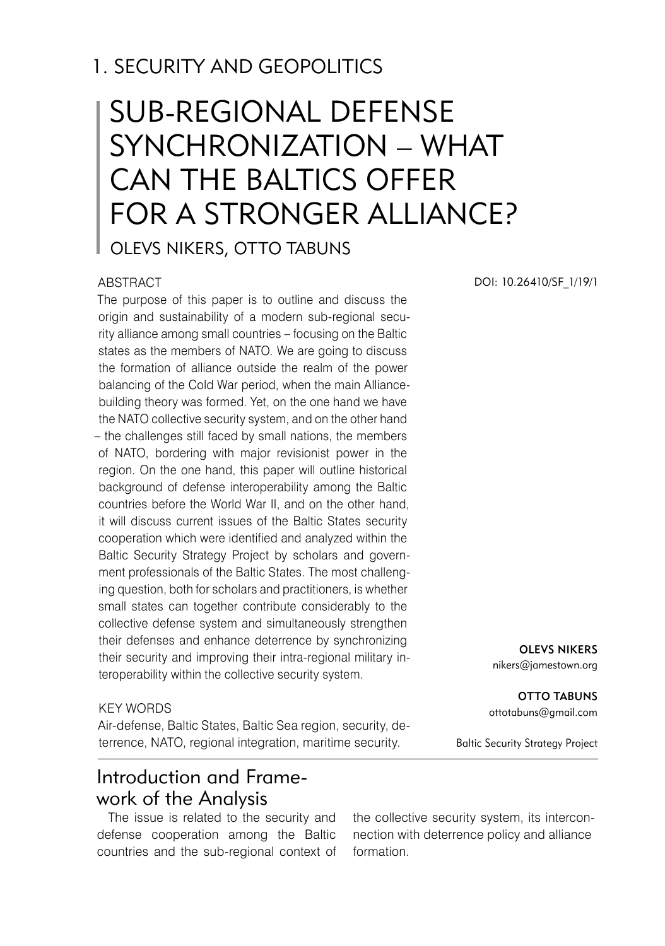## 1. SECURITY AND GEOPOLITICS

# SUB-REGIONAL DEFENSE SYNCHRONIZATION – WHAT CAN THE BALTICS OFFER FOR A STRONGER ALLIANCE?

Olevs Nikers, Otto Tabuns

#### ABSTRACT

The purpose of this paper is to outline and discuss the origin and sustainability of a modern sub-regional security alliance among small countries – focusing on the Baltic states as the members of NATO. We are going to discuss the formation of alliance outside the realm of the power balancing of the Cold War period, when the main Alliancebuilding theory was formed. Yet, on the one hand we have the NATO collective security system, and on the other hand – the challenges still faced by small nations, the members of NATO, bordering with major revisionist power in the region. On the one hand, this paper will outline historical background of defense interoperability among the Baltic countries before the World War II, and on the other hand, it will discuss current issues of the Baltic States security cooperation which were identified and analyzed within the Baltic Security Strategy Project by scholars and government professionals of the Baltic States. The most challenging question, both for scholars and practitioners, is whether small states can together contribute considerably to the collective defense system and simultaneously strengthen their defenses and enhance deterrence by synchronizing their security and improving their intra-regional military interoperability within the collective security system.

#### KEY WORDS

Air-defense, Baltic States, Baltic Sea region, security, deterrence, NATO, regional integration, maritime security.

## Introduction and Framework of the Analysis

The issue is related to the security and defense cooperation among the Baltic countries and the sub-regional context of the collective security system, its interconnection with deterrence policy and alliance formation.

DOI: 10.26410/SF\_1/19/1

Olevs Nikers

nikers@jamestown.org

**OTTO TABUNS** ottotabuns@gmail.com

Baltic Security Strategy Project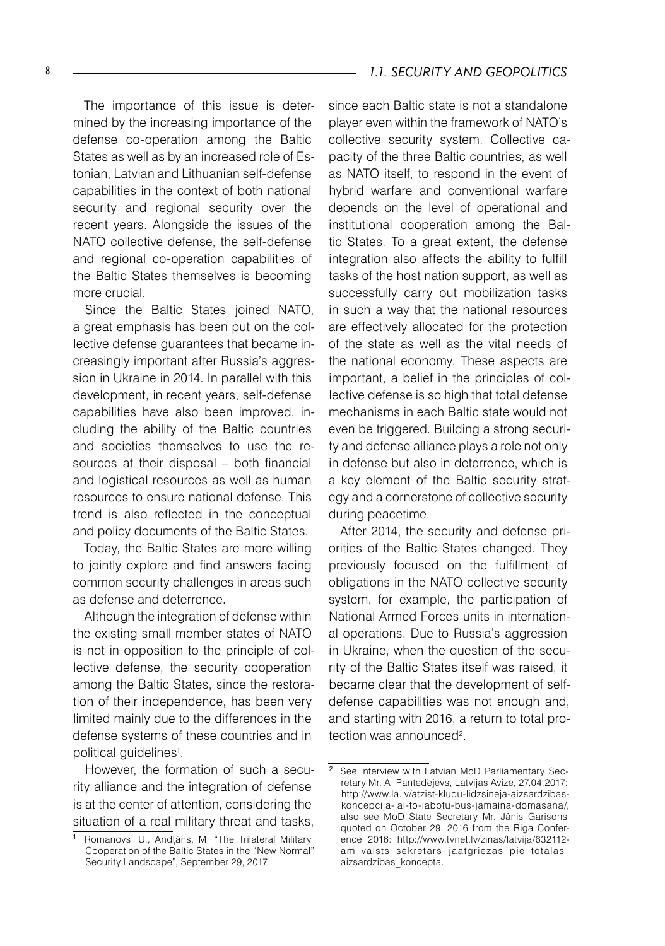The importance of this issue is determined by the increasing importance of the defense co-operation among the Baltic States as well as by an increased role of Estonian, Latvian and Lithuanian self-defense capabilities in the context of both national security and regional security over the recent years. Alongside the issues of the NATO collective defense, the self-defense and regional co-operation capabilities of the Baltic States themselves is becoming more crucial.

Since the Baltic States joined NATO, a great emphasis has been put on the collective defense guarantees that became increasingly important after Russia's aggression in Ukraine in 2014. In parallel with this development, in recent years, self-defense capabilities have also been improved, including the ability of the Baltic countries and societies themselves to use the resources at their disposal – both financial and logistical resources as well as human resources to ensure national defense. This trend is also reflected in the conceptual and policy documents of the Baltic States.

Today, the Baltic States are more willing to jointly explore and find answers facing common security challenges in areas such as defense and deterrence.

Although the integration of defense within the existing small member states of NATO is not in opposition to the principle of collective defense, the security cooperation among the Baltic States, since the restoration of their independence, has been very limited mainly due to the differences in the defense systems of these countries and in political guidelines<sup>1</sup>.

However, the formation of such a security alliance and the integration of defense is at the center of attention, considering the situation of a real military threat and tasks, since each Baltic state is not a standalone player even within the framework of NATO's collective security system. Collective capacity of the three Baltic countries, as well as NATO itself, to respond in the event of hybrid warfare and conventional warfare depends on the level of operational and institutional cooperation among the Baltic States. To a great extent, the defense integration also affects the ability to fulfill tasks of the host nation support, as well as successfully carry out mobilization tasks in such a way that the national resources are effectively allocated for the protection of the state as well as the vital needs of the national economy. These aspects are important, a belief in the principles of collective defense is so high that total defense mechanisms in each Baltic state would not even be triggered. Building a strong security and defense alliance plays a role not only in defense but also in deterrence, which is a key element of the Baltic security strategy and a cornerstone of collective security during peacetime.

After 2014, the security and defense priorities of the Baltic States changed. They previously focused on the fulfillment of obligations in the NATO collective security system, for example, the participation of National Armed Forces units in international operations. Due to Russia's aggression in Ukraine, when the question of the security of the Baltic States itself was raised, it became clear that the development of selfdefense capabilities was not enough and, and starting with 2016, a return to total protection was announced<sup>2</sup>.

Romanovs, U., Andțâns, M. "The Trilateral Military Cooperation of the Baltic States in the "New Normal" Security Landscape", September 29, 2017

 $\overline{2}$  See interview with Latvian MoD Parliamentary Secretary Mr. A. Panteďejevs, Latvijas Avîze, 27.04.2017: http://www.la.lv/atzist-kludu-lidzsineja-aizsardzibaskoncepcija-lai-to-labotu-bus-jamaina-domasana/, also see MoD State Secretary Mr. Jânis Garisons quoted on October 29, 2016 from the Riga Conference 2016: http://www.tvnet.lv/zinas/latvija/632112 am valsts sekretars jaatgriezas pie totalas aizsardzibas koncepta.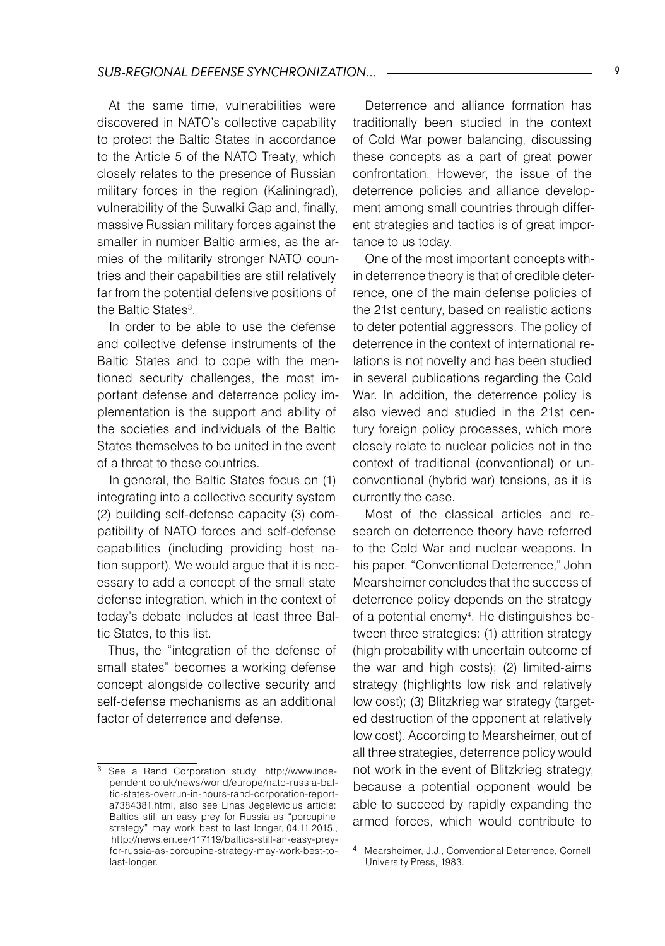At the same time, vulnerabilities were discovered in NATO's collective capability to protect the Baltic States in accordance to the Article 5 of the NATO Treaty, which closely relates to the presence of Russian military forces in the region (Kaliningrad), vulnerability of the Suwalki Gap and, finally, massive Russian military forces against the smaller in number Baltic armies, as the armies of the militarily stronger NATO countries and their capabilities are still relatively far from the potential defensive positions of the Baltic States<sup>3</sup>.

In order to be able to use the defense and collective defense instruments of the Baltic States and to cope with the mentioned security challenges, the most important defense and deterrence policy implementation is the support and ability of the societies and individuals of the Baltic States themselves to be united in the event of a threat to these countries.

In general, the Baltic States focus on (1) integrating into a collective security system (2) building self-defense capacity (3) compatibility of NATO forces and self-defense capabilities (including providing host nation support). We would argue that it is necessary to add a concept of the small state defense integration, which in the context of today's debate includes at least three Baltic States, to this list.

Thus, the "integration of the defense of small states" becomes a working defense concept alongside collective security and self-defense mechanisms as an additional factor of deterrence and defense.

Deterrence and alliance formation has traditionally been studied in the context of Cold War power balancing, discussing these concepts as a part of great power confrontation. However, the issue of the deterrence policies and alliance development among small countries through different strategies and tactics is of great importance to us today.

One of the most important concepts within deterrence theory is that of credible deterrence, one of the main defense policies of the 21st century, based on realistic actions to deter potential aggressors. The policy of deterrence in the context of international relations is not novelty and has been studied in several publications regarding the Cold War. In addition, the deterrence policy is also viewed and studied in the 21st century foreign policy processes, which more closely relate to nuclear policies not in the context of traditional (conventional) or unconventional (hybrid war) tensions, as it is currently the case.

Most of the classical articles and research on deterrence theory have referred to the Cold War and nuclear weapons. In his paper, "Conventional Deterrence," John Mearsheimer concludes that the success of deterrence policy depends on the strategy of a potential enemy<sup>4</sup>. He distinguishes between three strategies: (1) attrition strategy (high probability with uncertain outcome of the war and high costs); (2) limited-aims strategy (highlights low risk and relatively low cost); (3) Blitzkrieg war strategy (targeted destruction of the opponent at relatively low cost). According to Mearsheimer, out of all three strategies, deterrence policy would not work in the event of Blitzkrieg strategy, because a potential opponent would be able to succeed by rapidly expanding the armed forces, which would contribute to

<sup>&</sup>lt;sup>3</sup> See a Rand Corporation study: http://www.independent.co.uk/news/world/europe/nato-russia-baltic-states-overrun-in-hours-rand-corporation-reporta7384381.html, also see Linas Jegelevicius article: Baltics still an easy prey for Russia as "porcupine strategy" may work best to last longer, 04.11.2015., http://news.err.ee/117119/baltics-still-an-easy-preyfor-russia-as-porcupine-strategy-may-work-best-tolast-longer.

Mearsheimer, J.J., Conventional Deterrence, Cornell University Press, 1983.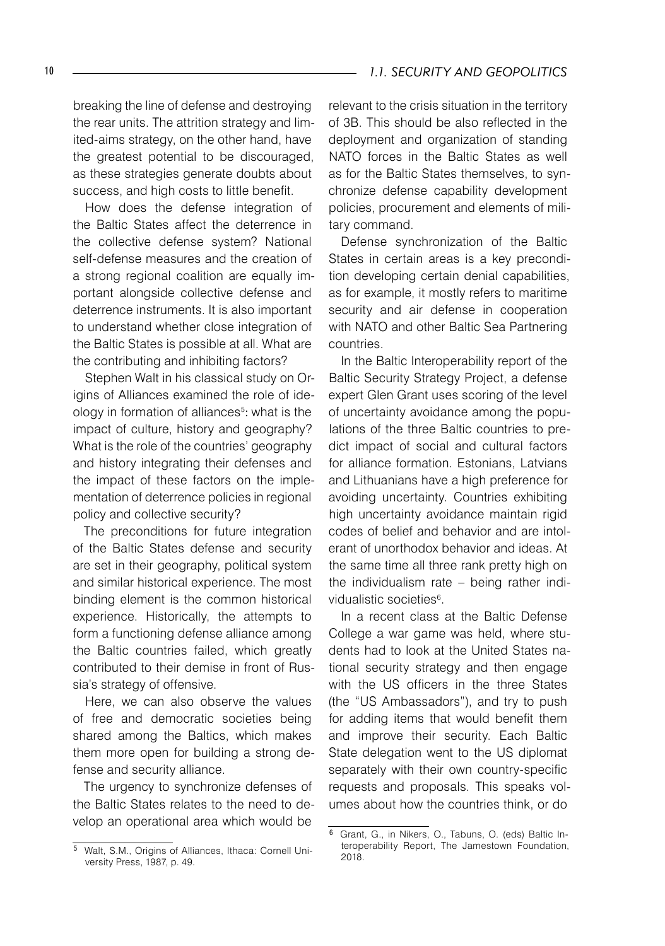#### 10 *1.1. SECURITY AND GEOPOLITICS*

breaking the line of defense and destroying the rear units. The attrition strategy and limited-aims strategy, on the other hand, have the greatest potential to be discouraged, as these strategies generate doubts about success, and high costs to little benefit.

How does the defense integration of the Baltic States affect the deterrence in the collective defense system? National self-defense measures and the creation of a strong regional coalition are equally important alongside collective defense and deterrence instruments. It is also important to understand whether close integration of the Baltic States is possible at all. What are the contributing and inhibiting factors?

Stephen Walt in his classical study on Origins of Alliances examined the role of ideology in formation of alliances<sup>5</sup>: what is the impact of culture, history and geography? What is the role of the countries' geography and history integrating their defenses and the impact of these factors on the implementation of deterrence policies in regional policy and collective security?

The preconditions for future integration of the Baltic States defense and security are set in their geography, political system and similar historical experience. The most binding element is the common historical experience. Historically, the attempts to form a functioning defense alliance among the Baltic countries failed, which greatly contributed to their demise in front of Russia's strategy of offensive.

Here, we can also observe the values of free and democratic societies being shared among the Baltics, which makes them more open for building a strong defense and security alliance.

The urgency to synchronize defenses of the Baltic States relates to the need to develop an operational area which would be

relevant to the crisis situation in the territory of 3B. This should be also reflected in the deployment and organization of standing NATO forces in the Baltic States as well as for the Baltic States themselves, to synchronize defense capability development policies, procurement and elements of military command.

Defense synchronization of the Baltic States in certain areas is a key precondition developing certain denial capabilities, as for example, it mostly refers to maritime security and air defense in cooperation with NATO and other Baltic Sea Partnering countries.

In the Baltic Interoperability report of the Baltic Security Strategy Project, a defense expert Glen Grant uses scoring of the level of uncertainty avoidance among the populations of the three Baltic countries to predict impact of social and cultural factors for alliance formation. Estonians, Latvians and Lithuanians have a high preference for avoiding uncertainty. Countries exhibiting high uncertainty avoidance maintain rigid codes of belief and behavior and are intolerant of unorthodox behavior and ideas. At the same time all three rank pretty high on the individualism rate – being rather individualistic societies<sup>6</sup>.

In a recent class at the Baltic Defense College a war game was held, where students had to look at the United States national security strategy and then engage with the US officers in the three States (the "US Ambassadors"), and try to push for adding items that would benefit them and improve their security. Each Baltic State delegation went to the US diplomat separately with their own country-specific requests and proposals. This speaks volumes about how the countries think, or do

Walt, S.M., Origins of Alliances, Ithaca: Cornell University Press, 1987, p. 49.

Grant, G., in Nikers, O., Tabuns, O. (eds) Baltic Interoperability Report, The Jamestown Foundation, 2018.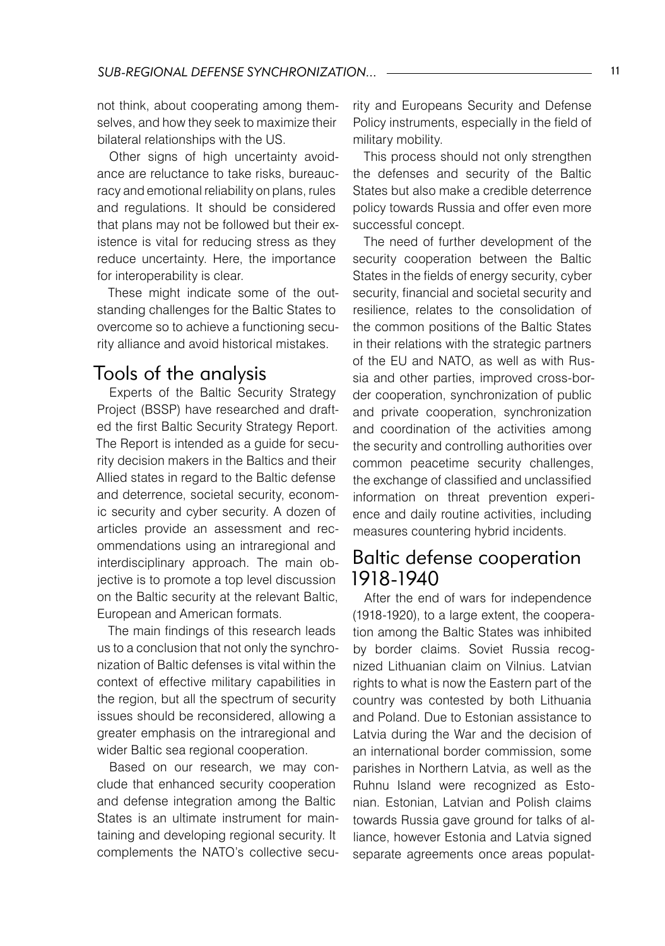not think, about cooperating among themselves, and how they seek to maximize their bilateral relationships with the US.

Other signs of high uncertainty avoidance are reluctance to take risks, bureaucracy and emotional reliability on plans, rules and regulations. It should be considered that plans may not be followed but their existence is vital for reducing stress as they reduce uncertainty. Here, the importance for interoperability is clear.

These might indicate some of the outstanding challenges for the Baltic States to overcome so to achieve a functioning security alliance and avoid historical mistakes.

## Tools of the analysis

Experts of the Baltic Security Strategy Project (BSSP) have researched and drafted the first Baltic Security Strategy Report. The Report is intended as a guide for security decision makers in the Baltics and their Allied states in regard to the Baltic defense and deterrence, societal security, economic security and cyber security. A dozen of articles provide an assessment and recommendations using an intraregional and interdisciplinary approach. The main objective is to promote a top level discussion on the Baltic security at the relevant Baltic, European and American formats.

The main findings of this research leads us to a conclusion that not only the synchronization of Baltic defenses is vital within the context of effective military capabilities in the region, but all the spectrum of security issues should be reconsidered, allowing a greater emphasis on the intraregional and wider Baltic sea regional cooperation.

Based on our research, we may conclude that enhanced security cooperation and defense integration among the Baltic States is an ultimate instrument for maintaining and developing regional security. It complements the NATO's collective security and Europeans Security and Defense Policy instruments, especially in the field of military mobility.

This process should not only strengthen the defenses and security of the Baltic States but also make a credible deterrence policy towards Russia and offer even more successful concept.

The need of further development of the security cooperation between the Baltic States in the fields of energy security, cyber security, financial and societal security and resilience, relates to the consolidation of the common positions of the Baltic States in their relations with the strategic partners of the EU and NATO, as well as with Russia and other parties, improved cross-border cooperation, synchronization of public and private cooperation, synchronization and coordination of the activities among the security and controlling authorities over common peacetime security challenges, the exchange of classified and unclassified information on threat prevention experience and daily routine activities, including measures countering hybrid incidents.

### Baltic defense cooperation 1918-1940

After the end of wars for independence (1918-1920), to a large extent, the cooperation among the Baltic States was inhibited by border claims. Soviet Russia recognized Lithuanian claim on Vilnius. Latvian rights to what is now the Eastern part of the country was contested by both Lithuania and Poland. Due to Estonian assistance to Latvia during the War and the decision of an international border commission, some parishes in Northern Latvia, as well as the Ruhnu Island were recognized as Estonian. Estonian, Latvian and Polish claims towards Russia gave ground for talks of alliance, however Estonia and Latvia signed separate agreements once areas populat-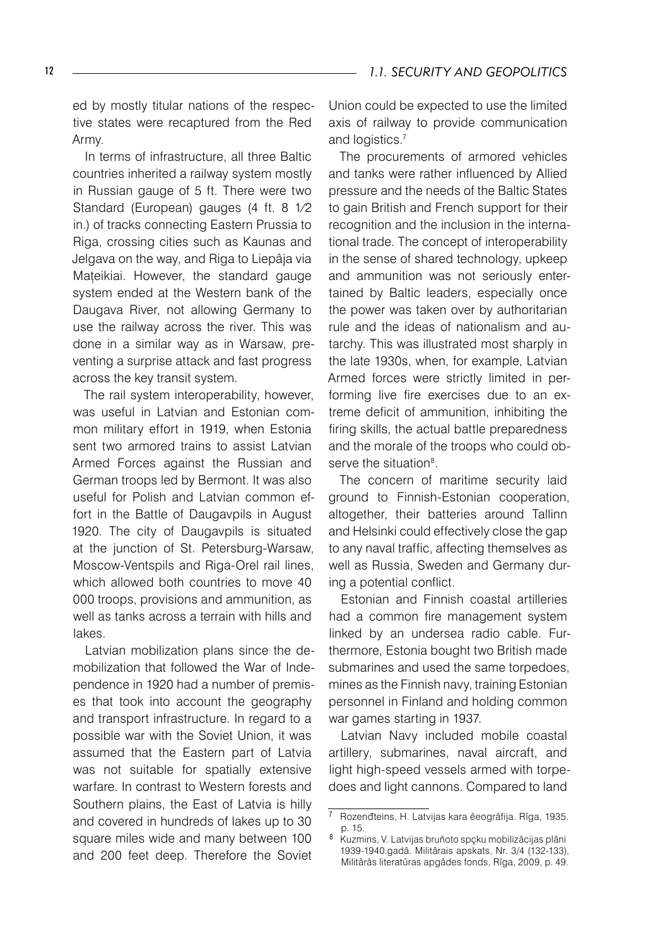ed by mostly titular nations of the respective states were recaptured from the Red Army.

In terms of infrastructure, all three Baltic countries inherited a railway system mostly in Russian gauge of 5 ft. There were two Standard (European) gauges (4 ft. 8 1⁄2 in.) of tracks connecting Eastern Prussia to Riga, crossing cities such as Kaunas and Jelgava on the way, and Riga to Liepâja via Mațeikiai. However, the standard gauge system ended at the Western bank of the Daugava River, not allowing Germany to use the railway across the river. This was done in a similar way as in Warsaw, preventing a surprise attack and fast progress across the key transit system.

The rail system interoperability, however, was useful in Latvian and Estonian common military effort in 1919, when Estonia sent two armored trains to assist Latvian Armed Forces against the Russian and German troops led by Bermont. It was also useful for Polish and Latvian common effort in the Battle of Daugavpils in August 1920. The city of Daugavpils is situated at the junction of St. Petersburg-Warsaw, Moscow-Ventspils and Riga-Orel rail lines, which allowed both countries to move 40 000 troops, provisions and ammunition, as well as tanks across a terrain with hills and lakes.

Latvian mobilization plans since the demobilization that followed the War of Independence in 1920 had a number of premises that took into account the geography and transport infrastructure. In regard to a possible war with the Soviet Union, it was assumed that the Eastern part of Latvia was not suitable for spatially extensive warfare. In contrast to Western forests and Southern plains, the East of Latvia is hilly and covered in hundreds of lakes up to 30 square miles wide and many between 100 and 200 feet deep. Therefore the Soviet

Union could be expected to use the limited axis of railway to provide communication and logistics.7

The procurements of armored vehicles and tanks were rather influenced by Allied pressure and the needs of the Baltic States to gain British and French support for their recognition and the inclusion in the international trade. The concept of interoperability in the sense of shared technology, upkeep and ammunition was not seriously entertained by Baltic leaders, especially once the power was taken over by authoritarian rule and the ideas of nationalism and autarchy. This was illustrated most sharply in the late 1930s, when, for example, Latvian Armed forces were strictly limited in performing live fire exercises due to an extreme deficit of ammunition, inhibiting the firing skills, the actual battle preparedness and the morale of the troops who could observe the situation<sup>8</sup>.

The concern of maritime security laid ground to Finnish-Estonian cooperation, altogether, their batteries around Tallinn and Helsinki could effectively close the gap to any naval traffic, affecting themselves as well as Russia, Sweden and Germany during a potential conflict.

Estonian and Finnish coastal artilleries had a common fire management system linked by an undersea radio cable. Furthermore, Estonia bought two British made submarines and used the same torpedoes, mines as the Finnish navy, training Estonian personnel in Finland and holding common war games starting in 1937.

Latvian Navy included mobile coastal artillery, submarines, naval aircraft, and light high-speed vessels armed with torpedoes and light cannons. Compared to land

Rozenđteins, H. Latvijas kara ěeogrâfija. Rîga, 1935. p. 15.

<sup>8</sup> Kuzmins, V. Latvijas bruňoto spçku mobilizâcijas plâni 1939-1940.gadâ. Militârais apskats, Nr. 3/4 (132-133), Militârâs literatűras apgâdes fonds, Rîga, 2009, p. 49.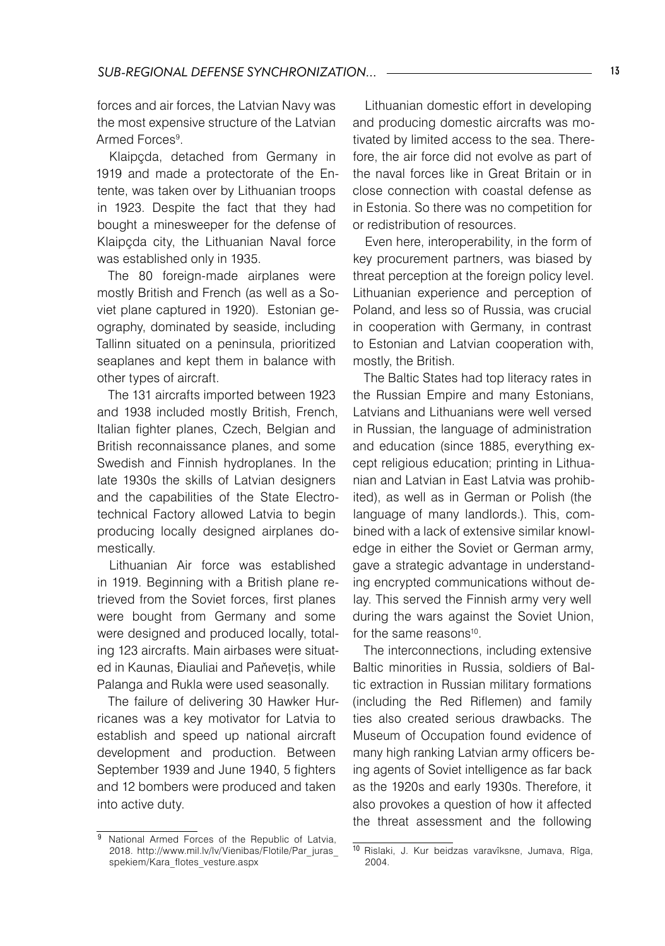forces and air forces, the Latvian Navy was the most expensive structure of the Latvian Armed Forces<sup>9</sup>.

Klaipçda, detached from Germany in 1919 and made a protectorate of the Entente, was taken over by Lithuanian troops in 1923. Despite the fact that they had bought a minesweeper for the defense of Klaipçda city, the Lithuanian Naval force was established only in 1935.

The 80 foreign-made airplanes were mostly British and French (as well as a Soviet plane captured in 1920). Estonian geography, dominated by seaside, including Tallinn situated on a peninsula, prioritized seaplanes and kept them in balance with other types of aircraft.

The 131 aircrafts imported between 1923 and 1938 included mostly British, French, Italian fighter planes, Czech, Belgian and British reconnaissance planes, and some Swedish and Finnish hydroplanes. In the late 1930s the skills of Latvian designers and the capabilities of the State Electrotechnical Factory allowed Latvia to begin producing locally designed airplanes domestically.

Lithuanian Air force was established in 1919. Beginning with a British plane retrieved from the Soviet forces, first planes were bought from Germany and some were designed and produced locally, totaling 123 aircrafts. Main airbases were situated in Kaunas, Điauliai and Paňevețis, while Palanga and Rukla were used seasonally.

The failure of delivering 30 Hawker Hurricanes was a key motivator for Latvia to establish and speed up national aircraft development and production. Between September 1939 and June 1940, 5 fighters and 12 bombers were produced and taken into active duty.

Lithuanian domestic effort in developing and producing domestic aircrafts was motivated by limited access to the sea. Therefore, the air force did not evolve as part of the naval forces like in Great Britain or in close connection with coastal defense as in Estonia. So there was no competition for or redistribution of resources.

Even here, interoperability, in the form of key procurement partners, was biased by threat perception at the foreign policy level. Lithuanian experience and perception of Poland, and less so of Russia, was crucial in cooperation with Germany, in contrast to Estonian and Latvian cooperation with, mostly, the British.

The Baltic States had top literacy rates in the Russian Empire and many Estonians, Latvians and Lithuanians were well versed in Russian, the language of administration and education (since 1885, everything except religious education; printing in Lithuanian and Latvian in East Latvia was prohibited), as well as in German or Polish (the language of many landlords.). This, combined with a lack of extensive similar knowledge in either the Soviet or German army, gave a strategic advantage in understanding encrypted communications without delay. This served the Finnish army very well during the wars against the Soviet Union, for the same reasons<sup>10</sup>.

The interconnections, including extensive Baltic minorities in Russia, soldiers of Baltic extraction in Russian military formations (including the Red Riflemen) and family ties also created serious drawbacks. The Museum of Occupation found evidence of many high ranking Latvian army officers being agents of Soviet intelligence as far back as the 1920s and early 1930s. Therefore, it also provokes a question of how it affected the threat assessment and the following

<sup>&</sup>lt;sup>9</sup> National Armed Forces of the Republic of Latvia, 2018. http://www.mil.lv/lv/Vienibas/Flotile/Par\_juras\_ spekiem/Kara\_flotes\_vesture.aspx

<sup>10</sup> Rislaki, J. Kur beidzas varavîksne, Jumava, Rîga, 2004.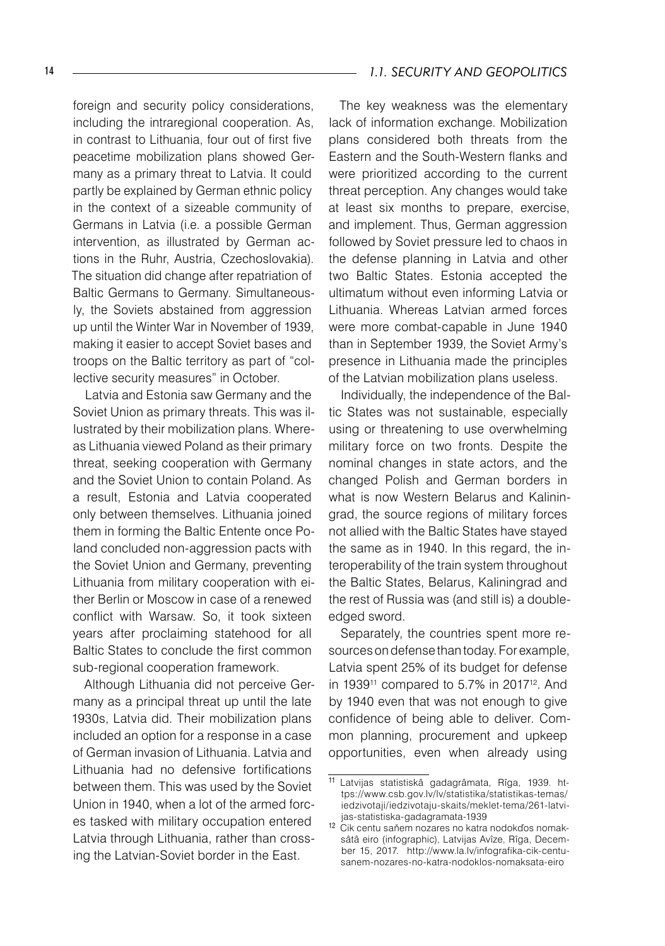foreign and security policy considerations, including the intraregional cooperation. As, in contrast to Lithuania, four out of first five peacetime mobilization plans showed Germany as a primary threat to Latvia. It could partly be explained by German ethnic policy in the context of a sizeable community of Germans in Latvia (i.e. a possible German intervention, as illustrated by German actions in the Ruhr, Austria, Czechoslovakia). The situation did change after repatriation of Baltic Germans to Germany. Simultaneously, the Soviets abstained from aggression up until the Winter War in November of 1939, making it easier to accept Soviet bases and troops on the Baltic territory as part of "collective security measures" in October.

Latvia and Estonia saw Germany and the Soviet Union as primary threats. This was illustrated by their mobilization plans. Whereas Lithuania viewed Poland as their primary threat, seeking cooperation with Germany and the Soviet Union to contain Poland. As a result, Estonia and Latvia cooperated only between themselves. Lithuania joined them in forming the Baltic Entente once Poland concluded non-aggression pacts with the Soviet Union and Germany, preventing Lithuania from military cooperation with either Berlin or Moscow in case of a renewed conflict with Warsaw. So, it took sixteen years after proclaiming statehood for all Baltic States to conclude the first common sub-regional cooperation framework.

Although Lithuania did not perceive Germany as a principal threat up until the late 1930s, Latvia did. Their mobilization plans included an option for a response in a case of German invasion of Lithuania. Latvia and Lithuania had no defensive fortifications between them. This was used by the Soviet Union in 1940, when a lot of the armed forces tasked with military occupation entered Latvia through Lithuania, rather than crossing the Latvian-Soviet border in the East.

#### 14 *1.1. SECURITY AND GEOPOLITICS*

The key weakness was the elementary lack of information exchange. Mobilization plans considered both threats from the Eastern and the South-Western flanks and were prioritized according to the current threat perception. Any changes would take at least six months to prepare, exercise, and implement. Thus, German aggression followed by Soviet pressure led to chaos in the defense planning in Latvia and other two Baltic States. Estonia accepted the ultimatum without even informing Latvia or Lithuania. Whereas Latvian armed forces were more combat-capable in June 1940 than in September 1939, the Soviet Army's presence in Lithuania made the principles of the Latvian mobilization plans useless.

Individually, the independence of the Baltic States was not sustainable, especially using or threatening to use overwhelming military force on two fronts. Despite the nominal changes in state actors, and the changed Polish and German borders in what is now Western Belarus and Kaliningrad, the source regions of military forces not allied with the Baltic States have stayed the same as in 1940. In this regard, the interoperability of the train system throughout the Baltic States, Belarus, Kaliningrad and the rest of Russia was (and still is) a doubleedged sword.

Separately, the countries spent more resources on defense than today. For example, Latvia spent 25% of its budget for defense in 1939<sup>11</sup> compared to 5.7% in 2017<sup>12</sup>. And by 1940 even that was not enough to give confidence of being able to deliver. Common planning, procurement and upkeep opportunities, even when already using

<sup>11</sup> Latvijas statistiskâ gadagrâmata, Rîga, 1939. https://www.csb.gov.lv/lv/statistika/statistikas-temas/ iedzivotaji/iedzivotaju-skaits/meklet-tema/261-latvijas-statistiska-gadagramata-1939

<sup>12</sup> Cik centu saňem nozares no katra nodokďos nomaksâtâ eiro (infographic), Latvijas Avîze, Rîga, December 15, 2017. http://www.la.lv/infografika-cik-centusanem-nozares-no-katra-nodoklos-nomaksata-eiro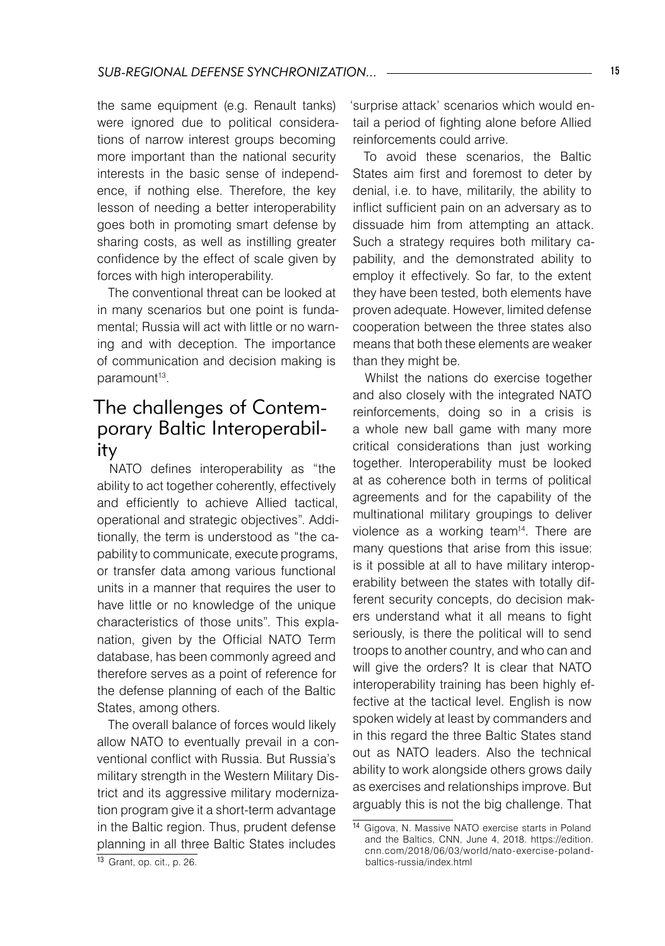the same equipment (e.g. Renault tanks) were ignored due to political considerations of narrow interest groups becoming more important than the national security interests in the basic sense of independence, if nothing else. Therefore, the key lesson of needing a better interoperability goes both in promoting smart defense by sharing costs, as well as instilling greater confidence by the effect of scale given by forces with high interoperability.

The conventional threat can be looked at in many scenarios but one point is fundamental; Russia will act with little or no warning and with deception. The importance of communication and decision making is paramount<sup>13</sup>.

## The challenges of Contemporary Baltic Interoperability

NATO defines interoperability as "the ability to act together coherently, effectively and efficiently to achieve Allied tactical, operational and strategic objectives". Additionally, the term is understood as "the capability to communicate, execute programs, or transfer data among various functional units in a manner that requires the user to have little or no knowledge of the unique characteristics of those units". This explanation, given by the Official NATO Term database, has been commonly agreed and therefore serves as a point of reference for the defense planning of each of the Baltic States, among others.

The overall balance of forces would likely allow NATO to eventually prevail in a conventional conflict with Russia. But Russia's military strength in the Western Military District and its aggressive military modernization program give it a short-term advantage in the Baltic region. Thus, prudent defense planning in all three Baltic States includes

<sup>13</sup> Grant, op. cit., p. 26.

'surprise attack' scenarios which would entail a period of fighting alone before Allied reinforcements could arrive.

To avoid these scenarios, the Baltic States aim first and foremost to deter by denial, i.e. to have, militarily, the ability to inflict sufficient pain on an adversary as to dissuade him from attempting an attack. Such a strategy requires both military capability, and the demonstrated ability to employ it effectively. So far, to the extent they have been tested, both elements have proven adequate. However, limited defense cooperation between the three states also means that both these elements are weaker than they might be.

Whilst the nations do exercise together and also closely with the integrated NATO reinforcements, doing so in a crisis is a whole new ball game with many more critical considerations than just working together. Interoperability must be looked at as coherence both in terms of political agreements and for the capability of the multinational military groupings to deliver violence as a working team<sup>14</sup>. There are many questions that arise from this issue: is it possible at all to have military interoperability between the states with totally different security concepts, do decision makers understand what it all means to fight seriously, is there the political will to send troops to another country, and who can and will give the orders? It is clear that NATO interoperability training has been highly effective at the tactical level. English is now spoken widely at least by commanders and in this regard the three Baltic States stand out as NATO leaders. Also the technical ability to work alongside others grows daily as exercises and relationships improve. But arguably this is not the big challenge. That

<sup>14</sup> Gigova, N. Massive NATO exercise starts in Poland and the Baltics, CNN, June 4, 2018. https://edition. cnn.com/2018/06/03/world/nato-exercise-polandbaltics-russia/index.html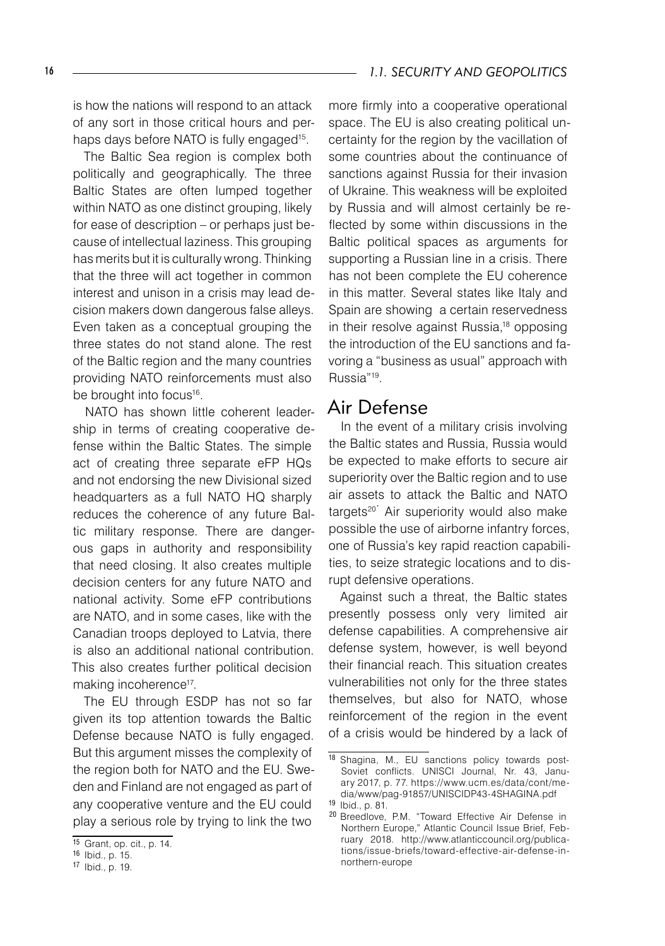is how the nations will respond to an attack of any sort in those critical hours and perhaps days before NATO is fully engaged<sup>15</sup>.

The Baltic Sea region is complex both politically and geographically. The three Baltic States are often lumped together within NATO as one distinct grouping, likely for ease of description – or perhaps just because of intellectual laziness. This grouping has merits but it is culturally wrong. Thinking that the three will act together in common interest and unison in a crisis may lead decision makers down dangerous false alleys. Even taken as a conceptual grouping the three states do not stand alone. The rest of the Baltic region and the many countries providing NATO reinforcements must also be brought into focus<sup>16</sup>.

NATO has shown little coherent leadership in terms of creating cooperative defense within the Baltic States. The simple act of creating three separate eFP HQs and not endorsing the new Divisional sized headquarters as a full NATO HQ sharply reduces the coherence of any future Baltic military response. There are dangerous gaps in authority and responsibility that need closing. It also creates multiple decision centers for any future NATO and national activity. Some eFP contributions are NATO, and in some cases, like with the Canadian troops deployed to Latvia, there is also an additional national contribution. This also creates further political decision making incoherence<sup>17</sup>.

The EU through ESDP has not so far given its top attention towards the Baltic Defense because NATO is fully engaged. But this argument misses the complexity of the region both for NATO and the EU. Sweden and Finland are not engaged as part of any cooperative venture and the EU could play a serious role by trying to link the two

more firmly into a cooperative operational space. The EU is also creating political uncertainty for the region by the vacillation of some countries about the continuance of sanctions against Russia for their invasion of Ukraine. This weakness will be exploited by Russia and will almost certainly be reflected by some within discussions in the Baltic political spaces as arguments for supporting a Russian line in a crisis. There has not been complete the EU coherence in this matter. Several states like Italy and Spain are showing a certain reservedness in their resolve against Russia,18 opposing the introduction of the EU sanctions and favoring a "business as usual" approach with Russia"19.

#### Air Defense

In the event of a military crisis involving the Baltic states and Russia, Russia would be expected to make efforts to secure air superiority over the Baltic region and to use air assets to attack the Baltic and NATO an about to attach the Bane and thing possible the use of airborne infantry forces, one of Russia's key rapid reaction capabilities, to seize strategic locations and to disrupt defensive operations.

Against such a threat, the Baltic states presently possess only very limited air defense capabilities. A comprehensive air defense system, however, is well beyond their financial reach. This situation creates vulnerabilities not only for the three states themselves, but also for NATO, whose reinforcement of the region in the event of a crisis would be hindered by a lack of

<sup>15</sup> Grant, op. cit., p. 14.

<sup>16</sup> Ibid., p. 15.

<sup>17</sup> Ibid., p. 19.

<sup>18</sup> Shagina, M., EU sanctions policy towards post-Soviet conflicts. UNISCI Journal, Nr. 43, January 2017, p. 77. https://www.ucm.es/data/cont/media/www/pag-91857/UNISCIDP43-4SHAGINA.pdf <sup>19</sup> Ibid., p. 81.

<sup>20</sup> Breedlove, P.M. "Toward Effective Air Defense in Northern Europe," Atlantic Council Issue Brief, February 2018. http://www.atlanticcouncil.org/publications/issue-briefs/toward-effective-air-defense-innorthern-europe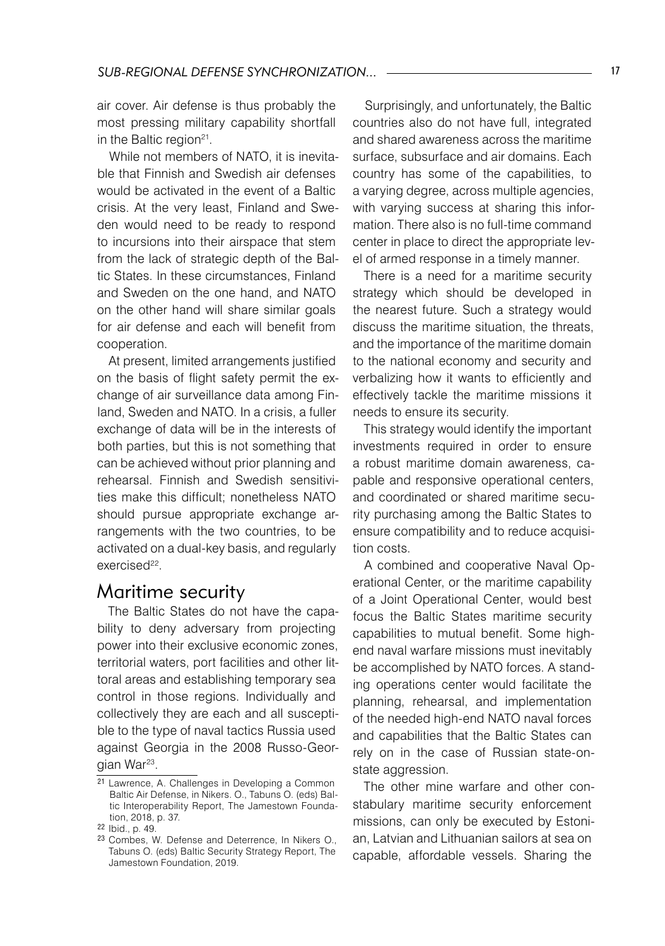air cover. Air defense is thus probably the most pressing military capability shortfall in the Baltic region<sup>21</sup>.

While not members of NATO, it is inevitable that Finnish and Swedish air defenses would be activated in the event of a Baltic crisis. At the very least, Finland and Sweden would need to be ready to respond to incursions into their airspace that stem from the lack of strategic depth of the Baltic States. In these circumstances, Finland and Sweden on the one hand, and NATO on the other hand will share similar goals for air defense and each will benefit from cooperation.

At present, limited arrangements justified on the basis of flight safety permit the exchange of air surveillance data among Finland, Sweden and NATO. In a crisis, a fuller exchange of data will be in the interests of both parties, but this is not something that can be achieved without prior planning and rehearsal. Finnish and Swedish sensitivities make this difficult; nonetheless NATO should pursue appropriate exchange arrangements with the two countries, to be activated on a dual-key basis, and regularly exercised<sup>22</sup>.

#### Maritime security

The Baltic States do not have the capability to deny adversary from projecting power into their exclusive economic zones, territorial waters, port facilities and other littoral areas and establishing temporary sea control in those regions. Individually and collectively they are each and all susceptible to the type of naval tactics Russia used against Georgia in the 2008 Russo-Georgian War<sup>23</sup>.

Surprisingly, and unfortunately, the Baltic countries also do not have full, integrated and shared awareness across the maritime surface, subsurface and air domains. Each country has some of the capabilities, to a varying degree, across multiple agencies, with varying success at sharing this information. There also is no full-time command center in place to direct the appropriate level of armed response in a timely manner.

There is a need for a maritime security strategy which should be developed in the nearest future. Such a strategy would discuss the maritime situation, the threats, and the importance of the maritime domain to the national economy and security and verbalizing how it wants to efficiently and effectively tackle the maritime missions it needs to ensure its security.

This strategy would identify the important investments required in order to ensure a robust maritime domain awareness, capable and responsive operational centers, and coordinated or shared maritime security purchasing among the Baltic States to ensure compatibility and to reduce acquisition costs.

A combined and cooperative Naval Operational Center, or the maritime capability of a Joint Operational Center, would best focus the Baltic States maritime security capabilities to mutual benefit. Some highend naval warfare missions must inevitably be accomplished by NATO forces. A standing operations center would facilitate the planning, rehearsal, and implementation of the needed high-end NATO naval forces and capabilities that the Baltic States can rely on in the case of Russian state-onstate aggression.

The other mine warfare and other constabulary maritime security enforcement missions, can only be executed by Estonian, Latvian and Lithuanian sailors at sea on capable, affordable vessels. Sharing the

<sup>21</sup> Lawrence, A. Challenges in Developing a Common Baltic Air Defense, in Nikers. O., Tabuns O. (eds) Baltic Interoperability Report, The Jamestown Foundation, 2018, p. 37.

<sup>22</sup> Ibid., p. 49.

<sup>23</sup> Combes, W. Defense and Deterrence, In Nikers O., Tabuns O. (eds) Baltic Security Strategy Report, The Jamestown Foundation, 2019.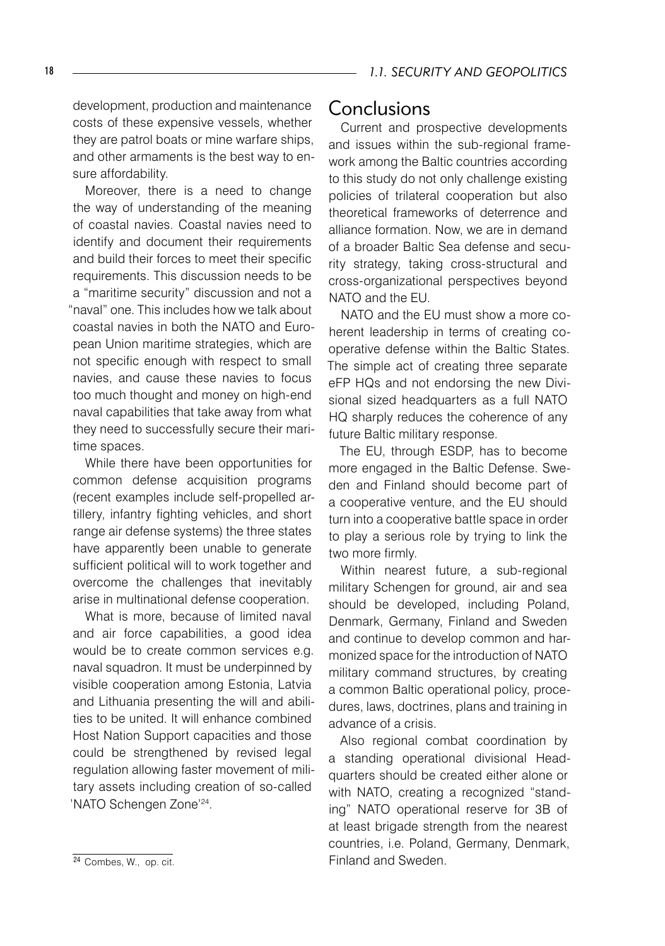development, production and maintenance costs of these expensive vessels, whether they are patrol boats or mine warfare ships, and other armaments is the best way to ensure affordability.

Moreover, there is a need to change the way of understanding of the meaning of coastal navies. Coastal navies need to identify and document their requirements and build their forces to meet their specific requirements. This discussion needs to be a "maritime security" discussion and not a "naval" one. This includes how we talk about coastal navies in both the NATO and European Union maritime strategies, which are not specific enough with respect to small navies, and cause these navies to focus too much thought and money on high-end naval capabilities that take away from what they need to successfully secure their maritime spaces.

While there have been opportunities for common defense acquisition programs (recent examples include self-propelled artillery, infantry fighting vehicles, and short range air defense systems) the three states have apparently been unable to generate sufficient political will to work together and overcome the challenges that inevitably arise in multinational defense cooperation.

What is more, because of limited naval and air force capabilities, a good idea would be to create common services e.g. naval squadron. It must be underpinned by visible cooperation among Estonia, Latvia and Lithuania presenting the will and abilities to be united. It will enhance combined Host Nation Support capacities and those could be strengthened by revised legal regulation allowing faster movement of military assets including creation of so-called 'NATO Schengen Zone'<sup>24</sup>.

#### Conclusions

Current and prospective developments and issues within the sub-regional framework among the Baltic countries according to this study do not only challenge existing policies of trilateral cooperation but also theoretical frameworks of deterrence and alliance formation. Now, we are in demand of a broader Baltic Sea defense and security strategy, taking cross-structural and cross-organizational perspectives beyond NATO and the EU.

NATO and the EU must show a more coherent leadership in terms of creating cooperative defense within the Baltic States. The simple act of creating three separate eFP HQs and not endorsing the new Divisional sized headquarters as a full NATO HQ sharply reduces the coherence of any future Baltic military response.

The EU, through ESDP, has to become more engaged in the Baltic Defense. Sweden and Finland should become part of a cooperative venture, and the EU should turn into a cooperative battle space in order to play a serious role by trying to link the two more firmly.

Within nearest future, a sub-regional military Schengen for ground, air and sea should be developed, including Poland, Denmark, Germany, Finland and Sweden and continue to develop common and harmonized space for the introduction of NATO military command structures, by creating a common Baltic operational policy, procedures, laws, doctrines, plans and training in advance of a crisis.

Also regional combat coordination by a standing operational divisional Headquarters should be created either alone or with NATO, creating a recognized "standing" NATO operational reserve for 3B of at least brigade strength from the nearest countries, i.e. Poland, Germany, Denmark, Finland and Sweden.

<sup>24</sup> Combes, W., op. cit.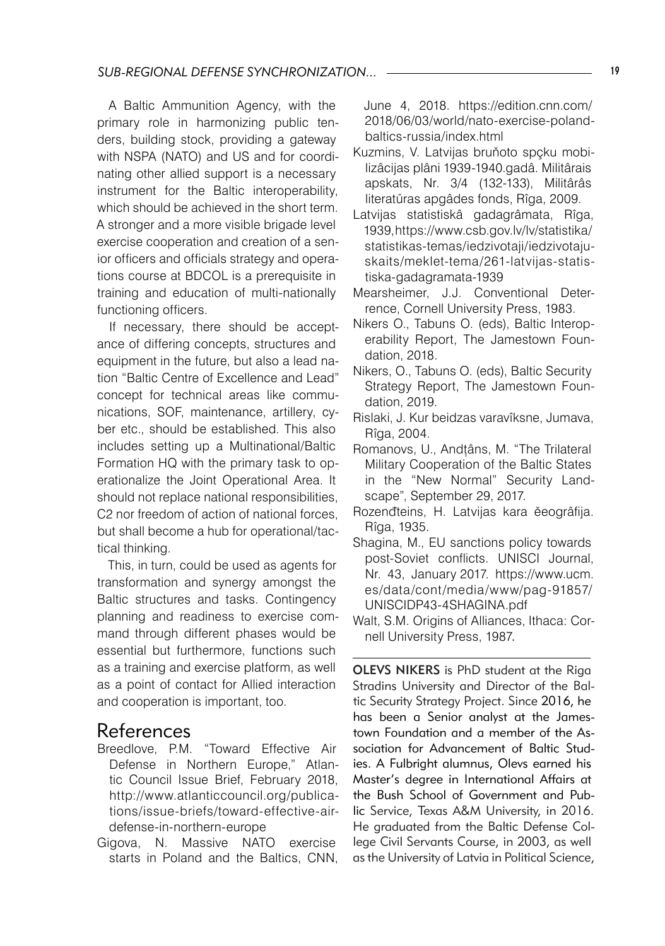A Baltic Ammunition Agency, with the primary role in harmonizing public tenders, building stock, providing a gateway with NSPA (NATO) and US and for coordinating other allied support is a necessary instrument for the Baltic interoperability, which should be achieved in the short term. A stronger and a more visible brigade level exercise cooperation and creation of a senior officers and officials strategy and operations course at BDCOL is a prerequisite in training and education of multi-nationally functioning officers.

If necessary, there should be acceptance of differing concepts, structures and equipment in the future, but also a lead nation "Baltic Centre of Excellence and Lead" concept for technical areas like communications, SOF, maintenance, artillery, cyber etc., should be established. This also includes setting up a Multinational/Baltic Formation HQ with the primary task to operationalize the Joint Operational Area. It should not replace national responsibilities, C2 nor freedom of action of national forces, but shall become a hub for operational/tactical thinking.

This, in turn, could be used as agents for transformation and synergy amongst the Baltic structures and tasks. Contingency planning and readiness to exercise command through different phases would be essential but furthermore, functions such as a training and exercise platform, as well as a point of contact for Allied interaction and cooperation is important, too.

#### References

- Breedlove, P.M. "Toward Effective Air Defense in Northern Europe," Atlantic Council Issue Brief, February 2018, http://www.atlanticcouncil.org/publications/issue-briefs/toward-effective-airdefense-in-northern-europe
- Gigova, N. Massive NATO exercise starts in Poland and the Baltics, CNN,

June 4, 2018. https://edition.cnn.com/ 2018/06/03/world/nato-exercise-polandbaltics-russia/index.html

- Kuzmins, V. Latvijas bruňoto spçku mobilizâcijas plâni 1939-1940.gadâ. Militârais apskats, Nr. 3/4 (132-133), Militârâs literatűras apgâdes fonds, Rîga, 2009.
- Latvijas statistiskâ gadagrâmata, Rîga, 1939, https://www.csb.gov.lv/lv/statistika/ statistikas-temas/iedzivotaji/iedzivotajuskaits/meklet-tema/261-latvijas-statistiska-gadagramata-1939
- Mearsheimer, J.J. Conventional Deterrence, Cornell University Press, 1983.
- Nikers O., Tabuns O. (eds), Baltic Interoperability Report, The Jamestown Foundation, 2018.
- Nikers, O., Tabuns O. (eds), Baltic Security Strategy Report, The Jamestown Foundation, 2019.
- Rislaki, J. Kur beidzas varavîksne, Jumava, Rîga, 2004.
- Romanovs, U., Andțâns, M. "The Trilateral Military Cooperation of the Baltic States in the "New Normal" Security Landscape", September 29, 2017.
- Rozenđteins, H. Latvijas kara ěeogrâfija. Rîga, 1935.
- Shagina, M., EU sanctions policy towards post-Soviet conflicts. UNISCI Journal, Nr. 43, January 2017. https://www.ucm. es/data/cont/media/www/pag-91857/ UNISCIDP43-4SHAGINA.pdf
- Walt, S.M. Origins of Alliances, Ithaca: Cornell University Press, 1987.

OLEVS NIKERS is PhD student at the Riga Stradins University and Director of the Baltic Security Strategy Project. Since 2016, he has been a Senior analyst at the Jamestown Foundation and a member of the Association for Advancement of Baltic Studies. A Fulbright alumnus, Olevs earned his Master's degree in International Affairs at the Bush School of Government and Public Service, Texas A&M University, in 2016. He graduated from the Baltic Defense College Civil Servants Course, in 2003, as well as the University of Latvia in Political Science,